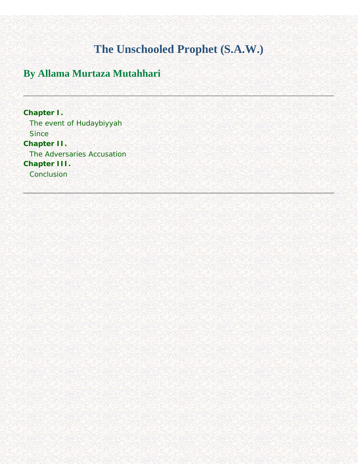### **The Unschooled Prophet (S.A.W.)**

### <span id="page-0-1"></span><span id="page-0-0"></span>**By Allama Murtaza Mutahhari**

**[Chapter I.](#page-1-0)** [The event of Hudaybiyyah](#page-1-1) **Since [Chapter II.](#page-5-0)** [The Adversaries Accusation](#page-5-1) **[Chapter III.](#page-6-0) [Conclusion](#page-6-1)**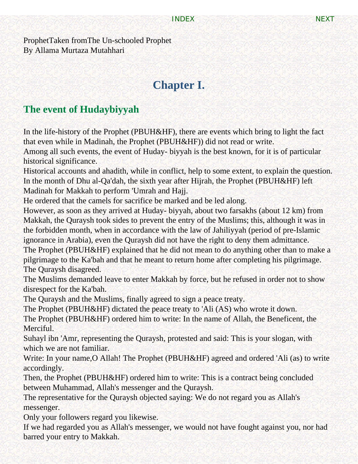<span id="page-1-2"></span><span id="page-1-0"></span>ProphetTaken fromThe Un-schooled Prophet By Allama Murtaza Mutahhari

# **Chapter I.**

### <span id="page-1-1"></span>**The event of Hudaybiyyah**

In the life-history of the Prophet (PBUH&HF), there are events which bring to light the fact that even while in Madinah, the Prophet (PBUH&HF)) did not read or write.

Among all such events, the event of Huday- biyyah is the best known, for it is of particular historical significance.

Historical accounts and ahadith, while in conflict, help to some extent, to explain the question. In the month of Dhu al-Qa'dah, the sixth year after Hijrah, the Prophet (PBUH&HF) left Madinah for Makkah to perform 'Umrah and Hajj.

He ordered that the camels for sacrifice be marked and be led along.

However, as soon as they arrived at Huday- biyyah, about two farsakhs (about 12 km) from Makkah, the Quraysh took sides to prevent the entry of the Muslims; this, although it was in the forbidden month, when in accordance with the law of Jahiliyyah (period of pre-Islamic ignorance in Arabia), even the Quraysh did not have the right to deny them admittance.

The Prophet (PBUH&HF) explained that he did not mean to do anything other than to make a pilgrimage to the Ka'bah and that he meant to return home after completing his pilgrimage. The Quraysh disagreed.

The Muslims demanded leave to enter Makkah by force, but he refused in order not to show disrespect for the Ka'bah.

The Quraysh and the Muslims, finally agreed to sign a peace treaty.

The Prophet (PBUH&HF) dictated the peace treaty to 'Ali (AS) who wrote it down.

The Prophet (PBUH&HF) ordered him to write: In the name of Allah, the Beneficent, the Merciful.

Suhayl ibn 'Amr, representing the Quraysh, protested and said: This is your slogan, with which we are not familiar.

Write: In your name,O Allah! The Prophet (PBUH&HF) agreed and ordered 'Ali (as) to write accordingly.

Then, the Prophet (PBUH&HF) ordered him to write: This is a contract being concluded between Muhammad, Allah's messenger and the Quraysh.

The representative for the Quraysh objected saying: We do not regard you as Allah's messenger.

Only your followers regard you likewise.

If we had regarded you as Allah's messenger, we would not have fought against you, nor had barred your entry to Makkah.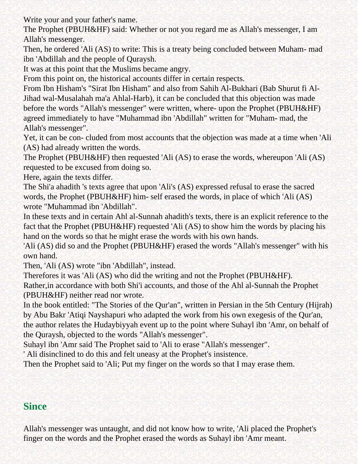Write your and your father's name.

The Prophet (PBUH&HF) said: Whether or not you regard me as Allah's messenger, I am Allah's messenger.

Then, he ordered 'Ali (AS) to write: This is a treaty being concluded between Muham- mad ibn 'Abdillah and the people of Quraysh.

It was at this point that the Muslims became angry.

From this point on, the historical accounts differ in certain respects.

From Ibn Hisham's "Sirat Ibn Hisham" and also from Sahih Al-Bukhari (Bab Shurut fi Al-Jihad wal-Musalahah ma'a Ahlal-Harb), it can be concluded that this objection was made before the words "Allah's messenger" were written, where- upon the Prophet (PBUH&HF) agreed immediately to have "Muhammad ibn 'Abdillah" written for "Muham- mad, the Allah's messenger".

Yet, it can be con- cluded from most accounts that the objection was made at a time when 'Ali (AS) had already written the words.

The Prophet (PBUH&HF) then requested 'Ali (AS) to erase the words, whereupon 'Ali (AS) requested to be excused from doing so.

Here, again the texts differ.

The Shi'a ahadith 's texts agree that upon 'Ali's (AS) expressed refusal to erase the sacred words, the Prophet (PBUH&HF) him- self erased the words, in place of which 'Ali (AS) wrote "Muhammad ibn 'Abdillah".

In these texts and in certain Ahl al-Sunnah ahadith's texts, there is an explicit reference to the fact that the Prophet (PBUH&HF) requested 'Ali (AS) to show him the words by placing his hand on the words so that he might erase the words with his own hands.

'Ali (AS) did so and the Prophet (PBUH&HF) erased the words "Allah's messenger" with his own hand.

Then, 'Ali (AS) wrote "ibn 'Abdillah", instead.

Therefores it was 'Ali (AS) who did the writing and not the Prophet (PBUH&HF).

Rather,in accordance with both Shi'i accounts, and those of the Ahl al-Sunnah the Prophet (PBUH&HF) neither read nor wrote.

In the book entitled: "The Stories of the Qur'an", written in Persian in the 5th Century (Hijrah) by Abu Bakr 'Atiqi Nayshapuri who adapted the work from his own exegesis of the Qur'an, the author relates the Hudaybiyyah event up to the point where Suhayl ibn 'Amr, on behalf of the Quraysh, objected to the words "Allah's messenger".

Suhayl ibn 'Amr said The Prophet said to 'Ali to erase "Allah's messenger".

' Ali disinclined to do this and felt uneasy at the Prophet's insistence.

<span id="page-2-0"></span>Then the Prophet said to 'Ali; Put my finger on the words so that I may erase them.

#### **Since**

Allah's messenger was untaught, and did not know how to write, 'Ali placed the Prophet's finger on the words and the Prophet erased the words as Suhayl ibn 'Amr meant.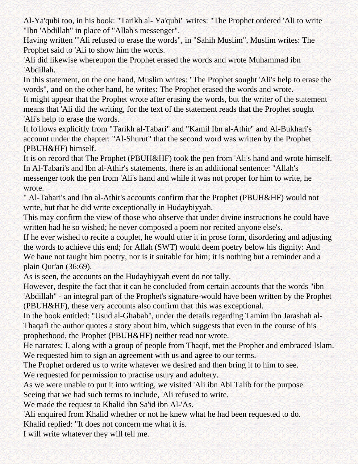Al-Ya'qubi too, in his book: "Tarikh al- Ya'qubi" writes: "The Prophet ordered 'Ali to write "Ibn 'Abdillah" in place of "Allah's messenger".

Having written "'Ali refused to erase the words", in "Sahih Muslim", Muslim writes: The Prophet said to 'Ali to show him the words.

'Ali did likewise whereupon the Prophet erased the words and wrote Muhammad ibn 'Abdillah.

In this statement, on the one hand, Muslim writes: "The Prophet sought 'Ali's help to erase the words", and on the other hand, he writes: The Prophet erased the words and wrote.

It might appear that the Prophet wrote after erasing the words, but the writer of the statement means that 'Ali did the writing, for the text of the statement reads that the Prophet sought 'Ali's help to erase the words.

It fo'llows explicitly from "Tarikh al-Tabari" and "Kamil Ibn al-Athir" and Al-Bukhari's account under the chapter: "Al-Shurut" that the second word was written by the Prophet (PBUH&HF) himself.

It is on record that The Prophet (PBUH&HF) took the pen from 'Ali's hand and wrote himself. In Al-Tabari's and Ibn al-Athir's statements, there is an additional sentence: "Allah's messenger took the pen from 'Ali's hand and while it was not proper for him to write, he wrote.

" Al-Tabari's and Ibn al-Athir's accounts confirm that the Prophet (PBUH&HF) would not write, but that he did write exceptionally in Hudaybiyyah.

This may confirm the view of those who observe that under divine instructions he could have written had he so wished; he never composed a poem nor recited anyone else's.

If he ever wished to recite a couplet, he would utter it in prose form, disordering and adjusting the words to achieve this end; for Allah (SWT) would deem poetry below his dignity: And We haue not taught him poetry, nor is it suitable for him; it is nothing but a reminder and a plain Qur'an (36:69).

As is seen, the accounts on the Hudaybiyyah event do not tally.

However, despite the fact that it can be concluded from certain accounts that the words "ibn 'Abdillah" - an integral part of the Prophet's signature-would have been written by the Prophet (PBUH&HF), these very accounts also confirm that this was exceptional.

In the book entitled: "Usud al-Ghabah", under the details regarding Tamim ibn Jarashah al-Thaqafi the author quotes a story about him, which suggests that even in the course of his prophethood, the Prophet (PBUH&HF) neither read nor wrote.

He narrates: I, along with a group of people from Thaqif, met the Prophet and embraced Islam. We requested him to sign an agreement with us and agree to our terms.

The Prophet ordered us to write whatever we desired and then bring it to him to see.

We requested for permission to practise usury and adultery.

As we were unable to put it into writing, we visited 'Ali ibn Abi Talib for the purpose. Seeing that we had such terms to include, 'Ali refused to write.

We made the request to Khalid ibn Sa'id ibn Al-'As.

'Ali enquired from Khalid whether or not he knew what he had been requested to do. Khalid replied: "It does not concern me what it is.

I will write whatever they will tell me.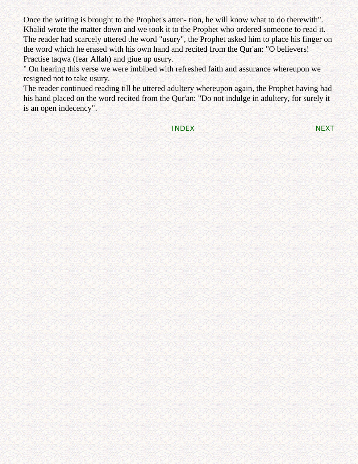Once the writing is brought to the Prophet's atten- tion, he will know what to do therewith". Khalid wrote the matter down and we took it to the Prophet who ordered someone to read it. The reader had scarcely uttered the word "usury", the Prophet asked him to place his finger on the word which he erased with his own hand and recited from the Qur'an: "O believers! Practise taqwa (fear Allah) and giue up usury.

" On hearing this verse we were imbibed with refreshed faith and assurance whereupon we resigned not to take usury.

The reader continued reading till he uttered adultery whereupon again, the Prophet having had his hand placed on the word recited from the Qur'an: "Do not indulge in adultery, for surely it is an open indecency".

[INDEX](#page-0-1) [NEXT](#page-5-3)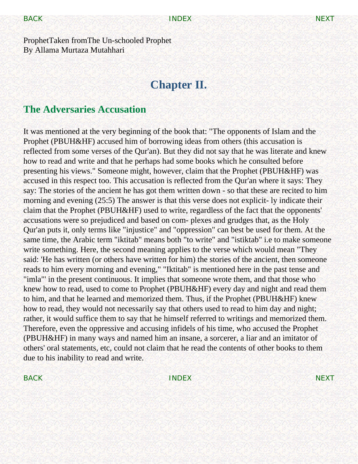<span id="page-5-3"></span><span id="page-5-2"></span><span id="page-5-0"></span>ProphetTaken fromThe Un-schooled Prophet By Allama Murtaza Mutahhari

## **Chapter II.**

#### <span id="page-5-1"></span>**The Adversaries Accusation**

It was mentioned at the very beginning of the book that: "The opponents of Islam and the Prophet (PBUH&HF) accused him of borrowing ideas from others (this accusation is reflected from some verses of the Qur'an). But they did not say that he was literate and knew how to read and write and that he perhaps had some books which he consulted before presenting his views." Someone might, however, claim that the Prophet (PBUH&HF) was accused in this respect too. This accusation is reflected from the Qur'an where it says: They say: The stories of the ancient he has got them written down - so that these are recited to him morning and evening (25:5) The answer is that this verse does not explicit- ly indicate their claim that the Prophet (PBUH&HF) used to write, regardless of the fact that the opponents' accusations were so prejudiced and based on com- plexes and grudges that, as the Holy Qur'an puts it, only terms like "injustice" and "oppression" can best be used for them. At the same time, the Arabic term "iktitab" means both "to write" and "istiktab" i.e to make someone write something. Here, the second meaning applies to the verse which would mean "They said: 'He has written (or others have written for him) the stories of the ancient, then someone reads to him every morning and evening," "Iktitab" is mentioned here in the past tense and "imla"' in the present continuous. It implies that someone wrote them, and that those who knew how to read, used to come to Prophet (PBUH&HF) every day and night and read them to him, and that he learned and memorized them. Thus, if the Prophet (PBUH&HF) knew how to read, they would not necessarily say that others used to read to him day and night; rather, it would suffice them to say that he himself referred to writings and memorized them. Therefore, even the oppressive and accusing infidels of his time, who accused the Prophet (PBUH&HF) in many ways and named him an insane, a sorcerer, a liar and an imitator of others' oral statements, etc, could not claim that he read the contents of other books to them due to his inability to read and write.

[BACK](#page-1-2) [NEXT](#page-6-2)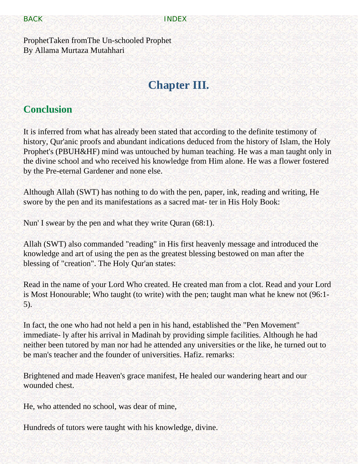<span id="page-6-2"></span>[BACK](#page-5-2) **[INDEX](#page-0-0)** 

<span id="page-6-0"></span>ProphetTaken fromThe Un-schooled Prophet By Allama Murtaza Mutahhari

# **Chapter III.**

#### <span id="page-6-1"></span>**Conclusion**

It is inferred from what has already been stated that according to the definite testimony of history, Qur'anic proofs and abundant indications deduced from the history of Islam, the Holy Prophet's (PBUH&HF) mind was untouched by human teaching. He was a man taught only in the divine school and who received his knowledge from Him alone. He was a flower fostered by the Pre-eternal Gardener and none else.

Although Allah (SWT) has nothing to do with the pen, paper, ink, reading and writing, He swore by the pen and its manifestations as a sacred mat- ter in His Holy Book:

Nun' I swear by the pen and what they write Quran (68:1).

Allah (SWT) also commanded "reading" in His first heavenly message and introduced the knowledge and art of using the pen as the greatest blessing bestowed on man after the blessing of "creation". The Holy Qur'an states:

Read in the name of your Lord Who created. He created man from a clot. Read and your Lord is Most Honourable; Who taught (to write) with the pen; taught man what he knew not (96:1- 5).

In fact, the one who had not held a pen in his hand, established the "Pen Movement" immediate- ly after his arrival in Madinah by providing simple facilities. Although he had neither been tutored by man nor had he attended any universities or the like, he turned out to be man's teacher and the founder of universities. Hafiz. remarks:

Brightened and made Heaven's grace manifest, He healed our wandering heart and our wounded chest.

He, who attended no school, was dear of mine,

Hundreds of tutors were taught with his knowledge, divine.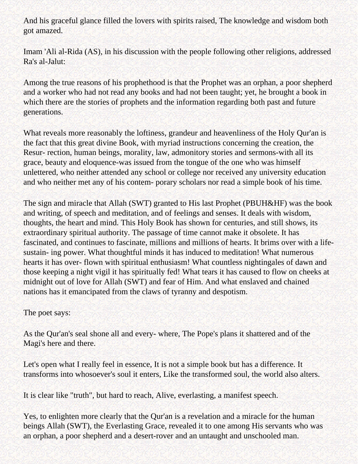And his graceful glance filled the lovers with spirits raised, The knowledge and wisdom both got amazed.

Imam 'Ali al-Rida (AS), in his discussion with the people following other religions, addressed Ra's al-Jalut:

Among the true reasons of his prophethood is that the Prophet was an orphan, a poor shepherd and a worker who had not read any books and had not been taught; yet, he brought a book in which there are the stories of prophets and the information regarding both past and future generations.

What reveals more reasonably the loftiness, grandeur and heavenliness of the Holy Qur'an is the fact that this great divine Book, with myriad instructions concerning the creation, the Resur- rection, human beings, morality, law, admonitory stories and sermons-with all its grace, beauty and eloquence-was issued from the tongue of the one who was himself unlettered, who neither attended any school or college nor received any university education and who neither met any of his contem- porary scholars nor read a simple book of his time.

The sign and miracle that Allah (SWT) granted to His last Prophet (PBUH&HF) was the book and writing, of speech and meditation, and of feelings and senses. It deals with wisdom, thoughts, the heart and mind. This Holy Book has shown for centuries, and still shows, its extraordinary spiritual authority. The passage of time cannot make it obsolete. It has fascinated, and continues to fascinate, millions and millions of hearts. It brims over with a lifesustain- ing power. What thoughtful minds it has induced to meditation! What numerous hearts it has over- flown with spiritual enthusiasm! What countless nightingales of dawn and those keeping a night vigil it has spiritually fed! What tears it has caused to flow on cheeks at midnight out of love for Allah (SWT) and fear of Him. And what enslaved and chained nations has it emancipated from the claws of tyranny and despotism.

The poet says:

As the Qur'an's seal shone all and every- where, The Pope's plans it shattered and of the Magi's here and there.

Let's open what I really feel in essence, It is not a simple book but has a difference. It transforms into whosoever's soul it enters, Like the transformed soul, the world also alters.

It is clear like "truth", but hard to reach, Alive, everlasting, a manifest speech.

Yes, to enlighten more clearly that the Qur'an is a revelation and a miracle for the human beings Allah (SWT), the Everlasting Grace, revealed it to one among His servants who was an orphan, a poor shepherd and a desert-rover and an untaught and unschooled man.